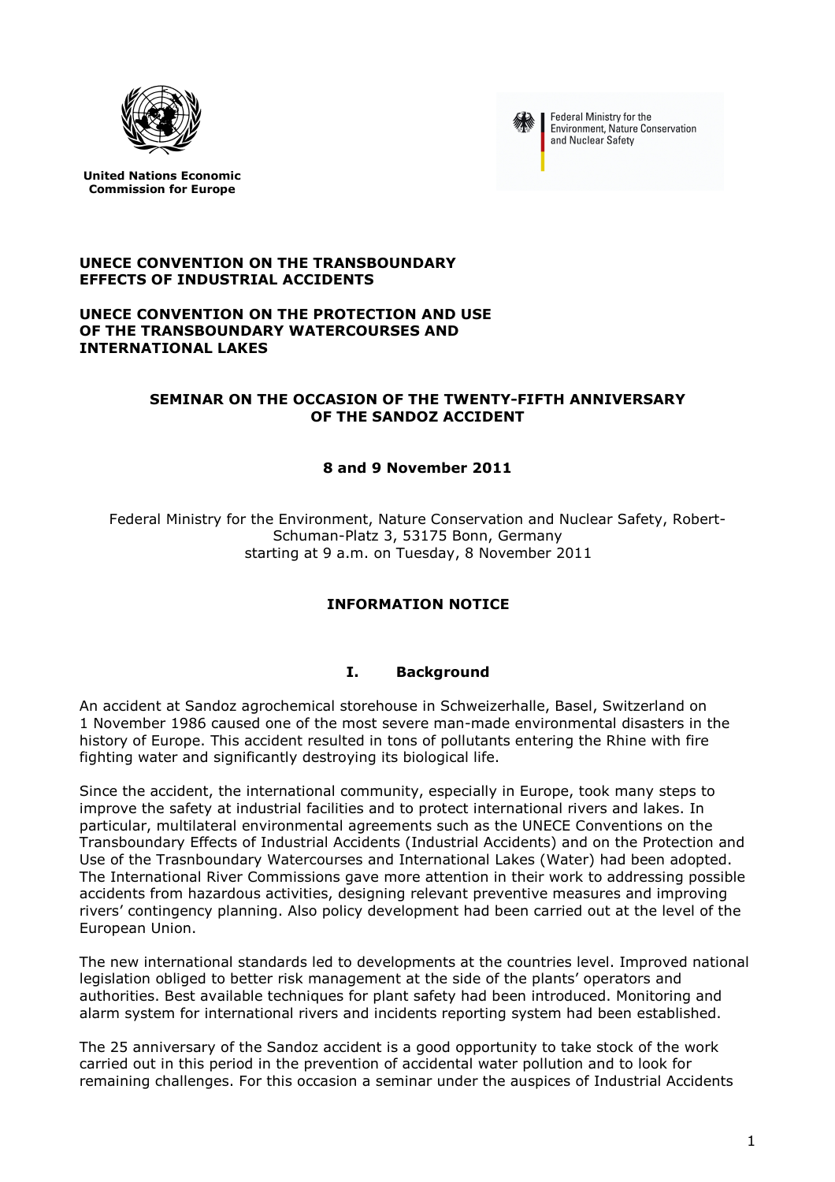



Federal Ministry for the Environment, Nature Conservation and Nuclear Safety

**United Nations Economic Commission for Europe**

### **UNECE CONVENTION ON THE TRANSBOUNDARY EFFECTS OF INDUSTRIAL ACCIDENTS**

### **UNECE CONVENTION ON THE PROTECTION AND USE OF THE TRANSBOUNDARY WATERCOURSES AND INTERNATIONAL LAKES**

## **SEMINAR ON THE OCCASION OF THE TWENTY-FIFTH ANNIVERSARY OF THE SANDOZ ACCIDENT**

## **8 and 9 November 2011**

Federal Ministry for the Environment, Nature Conservation and Nuclear Safety, Robert-Schuman-Platz 3, 53175 Bonn, Germany starting at 9 a.m. on Tuesday, 8 November 2011

# **INFORMATION NOTICE**

## **I. Background**

An accident at Sandoz agrochemical storehouse in Schweizerhalle, Basel, Switzerland on 1 November 1986 caused one of the most severe man-made environmental disasters in the history of Europe. This accident resulted in tons of pollutants entering the Rhine with fire fighting water and significantly destroying its biological life.

Since the accident, the international community, especially in Europe, took many steps to improve the safety at industrial facilities and to protect international rivers and lakes. In particular, multilateral environmental agreements such as the UNECE Conventions on the Transboundary Effects of Industrial Accidents (Industrial Accidents) and on the Protection and Use of the Trasnboundary Watercourses and International Lakes (Water) had been adopted. The International River Commissions gave more attention in their work to addressing possible accidents from hazardous activities, designing relevant preventive measures and improving rivers' contingency planning. Also policy development had been carried out at the level of the European Union.

The new international standards led to developments at the countries level. Improved national legislation obliged to better risk management at the side of the plants' operators and authorities. Best available techniques for plant safety had been introduced. Monitoring and alarm system for international rivers and incidents reporting system had been established.

The 25 anniversary of the Sandoz accident is a good opportunity to take stock of the work carried out in this period in the prevention of accidental water pollution and to look for remaining challenges. For this occasion a seminar under the auspices of Industrial Accidents